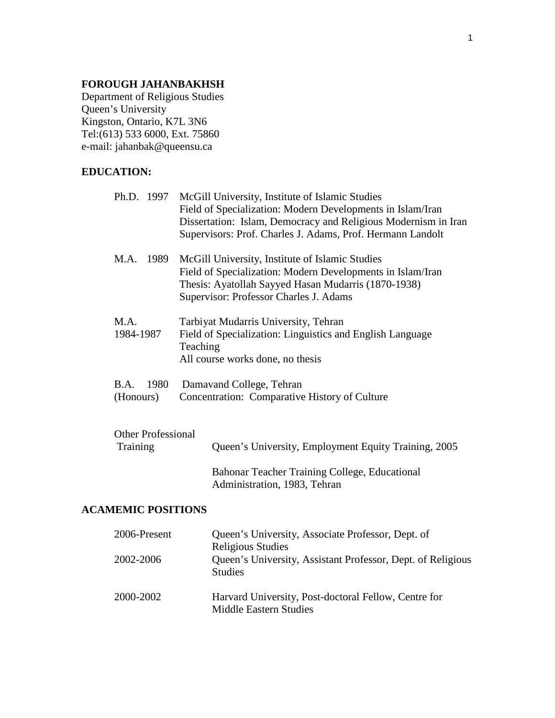## **FOROUGH JAHANBAKHSH**

Department of Religious Studies Queen's University Kingston, Ontario, K7L 3N6 Tel:(613) 533 6000, Ext. 75860 e-mail: jahanbak@queensu.ca

## **EDUCATION:**

|                                       | Ph.D. 1997 McGill University, Institute of Islamic Studies<br>Field of Specialization: Modern Developments in Islam/Iran<br>Dissertation: Islam, Democracy and Religious Modernism in Iran<br>Supervisors: Prof. Charles J. Adams, Prof. Hermann Landolt |
|---------------------------------------|----------------------------------------------------------------------------------------------------------------------------------------------------------------------------------------------------------------------------------------------------------|
| M.A. 1989                             | McGill University, Institute of Islamic Studies<br>Field of Specialization: Modern Developments in Islam/Iran<br>Thesis: Ayatollah Sayyed Hasan Mudarris (1870-1938)<br>Supervisor: Professor Charles J. Adams                                           |
| M.A.<br>1984-1987                     | Tarbiyat Mudarris University, Tehran<br>Field of Specialization: Linguistics and English Language<br>Teaching<br>All course works done, no thesis                                                                                                        |
| B.A.<br>1980<br>(Honours)             | Damavand College, Tehran<br>Concentration: Comparative History of Culture                                                                                                                                                                                |
| <b>Other Professional</b><br>Training | Queen's University, Employment Equity Training, 2005                                                                                                                                                                                                     |

Bahonar Teacher Training College, Educational Administration, 1983, Tehran

# **ACAMEMIC POSITIONS**

| 2006-Present | Queen's University, Associate Professor, Dept. of                              |
|--------------|--------------------------------------------------------------------------------|
|              | <b>Religious Studies</b>                                                       |
| 2002-2006    | Queen's University, Assistant Professor, Dept. of Religious<br><b>Studies</b>  |
| 2000-2002    | Harvard University, Post-doctoral Fellow, Centre for<br>Middle Eastern Studies |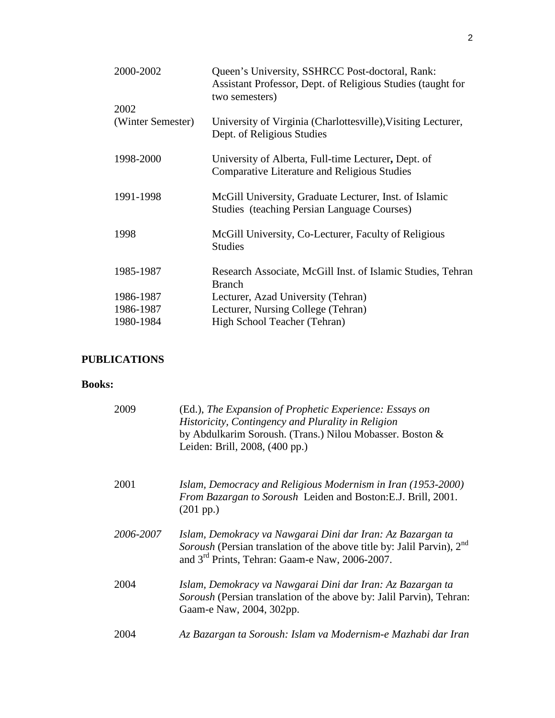| 2000-2002         | Queen's University, SSHRCC Post-doctoral, Rank:<br>Assistant Professor, Dept. of Religious Studies (taught for<br>two semesters) |
|-------------------|----------------------------------------------------------------------------------------------------------------------------------|
| 2002              |                                                                                                                                  |
| (Winter Semester) | University of Virginia (Charlottesville), Visiting Lecturer,<br>Dept. of Religious Studies                                       |
| 1998-2000         | University of Alberta, Full-time Lecturer, Dept. of<br><b>Comparative Literature and Religious Studies</b>                       |
| 1991-1998         | McGill University, Graduate Lecturer, Inst. of Islamic<br><b>Studies</b> (teaching Persian Language Courses)                     |
| 1998              | McGill University, Co-Lecturer, Faculty of Religious<br><b>Studies</b>                                                           |
| 1985-1987         | Research Associate, McGill Inst. of Islamic Studies, Tehran<br><b>Branch</b>                                                     |
| 1986-1987         | Lecturer, Azad University (Tehran)                                                                                               |
| 1986-1987         | Lecturer, Nursing College (Tehran)                                                                                               |
| 1980-1984         | High School Teacher (Tehran)                                                                                                     |

# **PUBLICATIONS**

## **Books:**

| 2009      | (Ed.), The Expansion of Prophetic Experience: Essays on<br>Historicity, Contingency and Plurality in Religion<br>by Abdulkarim Soroush. (Trans.) Nilou Mobasser. Boston &<br>Leiden: Brill, 2008, (400 pp.)    |
|-----------|----------------------------------------------------------------------------------------------------------------------------------------------------------------------------------------------------------------|
| 2001      | Islam, Democracy and Religious Modernism in Iran (1953-2000)<br>From Bazargan to Soroush Leiden and Boston: E.J. Brill, 2001.<br>$(201 \text{ pp.})$                                                           |
| 2006-2007 | Islam, Demokracy va Nawgarai Dini dar Iran: Az Bazargan ta<br>Soroush (Persian translation of the above title by: Jalil Parvin), 2 <sup>nd</sup><br>and 3 <sup>rd</sup> Prints, Tehran: Gaam-e Naw, 2006-2007. |
| 2004      | Islam, Demokracy va Nawgarai Dini dar Iran: Az Bazargan ta<br>Soroush (Persian translation of the above by: Jalil Parvin), Tehran:<br>Gaam-e Naw, 2004, 302pp.                                                 |
| 2004      | Az Bazargan ta Soroush: Islam va Modernism-e Mazhabi dar Iran                                                                                                                                                  |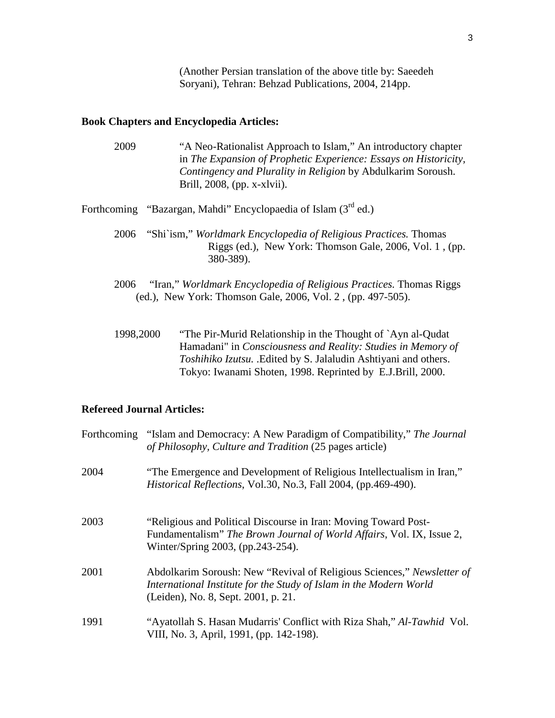(Another Persian translation of the above title by: Saeedeh Soryani), Tehran: Behzad Publications, 2004, 214pp.

# **Book Chapters and Encyclopedia Articles:**

| 2009      | "A Neo-Rationalist Approach to Islam," An introductory chapter<br>in The Expansion of Prophetic Experience: Essays on Historicity,<br>Contingency and Plurality in Religion by Abdulkarim Soroush.<br>Brill, $2008$ , (pp. x-xlvii).                         |
|-----------|--------------------------------------------------------------------------------------------------------------------------------------------------------------------------------------------------------------------------------------------------------------|
|           | Forthcoming "Bazargan, Mahdi" Encyclopaedia of Islam $(3rd$ ed.)                                                                                                                                                                                             |
| 2006      | "Shi`ism," Worldmark Encyclopedia of Religious Practices. Thomas<br>Riggs (ed.), New York: Thomson Gale, 2006, Vol. 1, (pp.<br>380-389).                                                                                                                     |
| 2006      | "Iran," Worldmark Encyclopedia of Religious Practices. Thomas Riggs<br>(ed.), New York: Thomson Gale, 2006, Vol. 2, (pp. 497-505).                                                                                                                           |
| 1998,2000 | "The Pir-Murid Relationship in the Thought of `Ayn al-Qudat<br>Hamadani" in Consciousness and Reality: Studies in Memory of<br>Toshihiko Izutsu. .Edited by S. Jalaludin Ashtiyani and others.<br>Tokyo: Iwanami Shoten, 1998. Reprinted by E.J.Brill, 2000. |

## **Refereed Journal Articles:**

| Forthcoming | "Islam and Democracy: A New Paradigm of Compatibility," The Journal<br>of Philosophy, Culture and Tradition (25 pages article)                                                      |
|-------------|-------------------------------------------------------------------------------------------------------------------------------------------------------------------------------------|
| 2004        | "The Emergence and Development of Religious Intellectualism in Iran,"<br>Historical Reflections, Vol.30, No.3, Fall 2004, (pp.469-490).                                             |
| 2003        | "Religious and Political Discourse in Iran: Moving Toward Post-<br>Fundamentalism" The Brown Journal of World Affairs, Vol. IX, Issue 2,<br>Winter/Spring 2003, (pp.243-254).       |
| 2001        | Abdolkarim Soroush: New "Revival of Religious Sciences," Newsletter of<br>International Institute for the Study of Islam in the Modern World<br>(Leiden), No. 8, Sept. 2001, p. 21. |
| 1991        | "Ayatollah S. Hasan Mudarris' Conflict with Riza Shah," Al-Tawhid Vol.<br>VIII, No. 3, April, 1991, (pp. 142-198).                                                                  |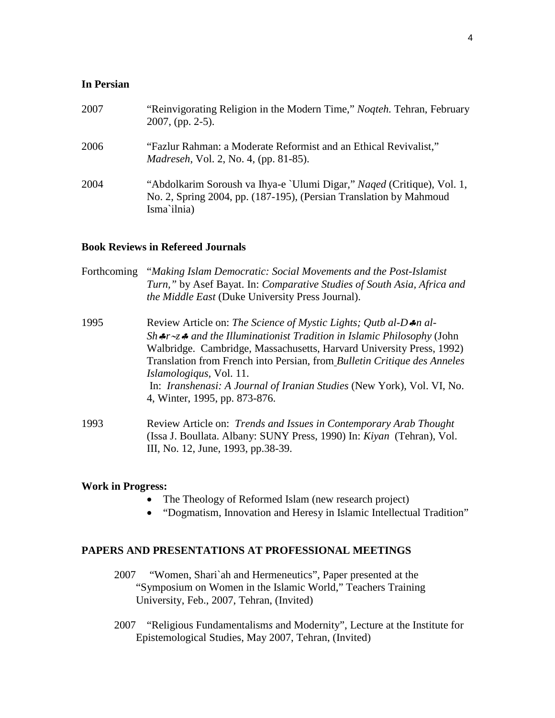### **In Persian**

| 2007 | "Reinvigorating Religion in the Modern Time," Nogteh. Tehran, February<br>$2007$ , (pp. 2-5).                                                               |
|------|-------------------------------------------------------------------------------------------------------------------------------------------------------------|
| 2006 | "Fazlur Rahman: a Moderate Reformist and an Ethical Revivalist,"<br><i>Madreseh, Vol. 2, No. 4, (pp. 81-85).</i>                                            |
| 2004 | "Abdolkarim Soroush va Ihya-e `Ulumi Digar," Naqed (Critique), Vol. 1,<br>No. 2, Spring 2004, pp. (187-195), (Persian Translation by Mahmoud<br>Isma'ilnia) |

### **Book Reviews in Refereed Journals**

| Forthcoming | "Making Islam Democratic: Social Movements and the Post-Islamist<br>Turn," by Asef Bayat. In: Comparative Studies of South Asia, Africa and<br>the Middle East (Duke University Press Journal).                                                                                                                                                                                                                                                                   |
|-------------|-------------------------------------------------------------------------------------------------------------------------------------------------------------------------------------------------------------------------------------------------------------------------------------------------------------------------------------------------------------------------------------------------------------------------------------------------------------------|
| 1995        | Review Article on: The Science of Mystic Lights; Qutb al-D $\clubsuit$ n al-<br>$Sh$ fr $\sim$ z fand the Illuminationist Tradition in Islamic Philosophy (John<br>Walbridge. Cambridge, Massachusetts, Harvard University Press, 1992)<br>Translation from French into Persian, from Bulletin Critique des Anneles<br><i>Islamologiqus</i> , Vol. 11.<br>In: Iranshenasi: A Journal of Iranian Studies (New York), Vol. VI, No.<br>4, Winter, 1995, pp. 873-876. |
| 1993        | Review Article on: <i>Trends and Issues in Contemporary Arab Thought</i><br>(Issa J. Boullata. Albany: SUNY Press, 1990) In: Kiyan (Tehran), Vol.<br>III, No. 12, June, 1993, pp.38-39.                                                                                                                                                                                                                                                                           |

### **Work in Progress:**

- The Theology of Reformed Islam (new research project)
- "Dogmatism, Innovation and Heresy in Islamic Intellectual Tradition"

## **PAPERS AND PRESENTATIONS AT PROFESSIONAL MEETINGS**

- 2007 "Women, Shari`ah and Hermeneutics", Paper presented at the "Symposium on Women in the Islamic World," Teachers Training University, Feb., 2007, Tehran, (Invited)
- 2007 "Religious Fundamentalism*s* and Modernity", Lecture at the Institute for Epistemological Studies, May 2007, Tehran, (Invited)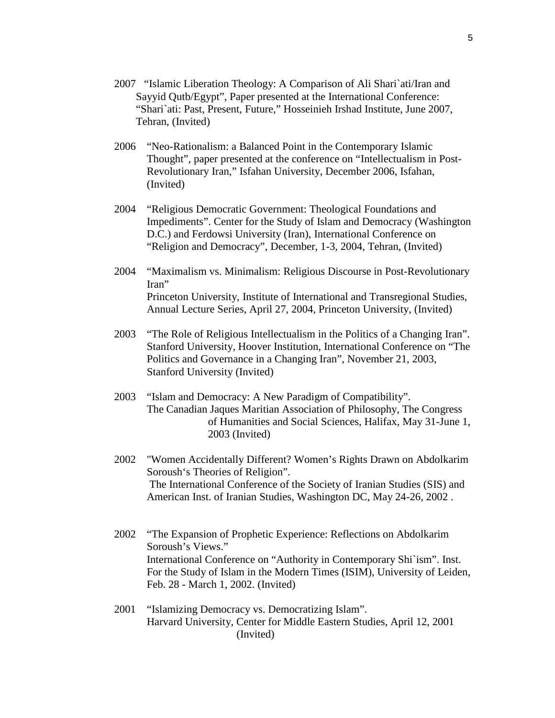- 2007 "Islamic Liberation Theology: A Comparison of Ali Shari`ati/Iran and Sayyid Qutb/Egypt", Paper presented at the International Conference: "Shari`ati: Past, Present, Future," Hosseinieh Irshad Institute, June 2007, Tehran, (Invited)
- 2006 "Neo-Rationalism: a Balanced Point in the Contemporary Islamic Thought", paper presented at the conference on "Intellectualism in Post-Revolutionary Iran," Isfahan University, December 2006, Isfahan, (Invited)
- 2004 "Religious Democratic Government: Theological Foundations and Impediments". Center for the Study of Islam and Democracy (Washington D.C.) and Ferdowsi University (Iran), International Conference on "Religion and Democracy", December, 1-3, 2004, Tehran, (Invited)
- 2004 "Maximalism vs. Minimalism: Religious Discourse in Post-Revolutionary Iran" Princeton University, Institute of International and Transregional Studies, Annual Lecture Series, April 27, 2004, Princeton University, (Invited)
- 2003 "The Role of Religious Intellectualism in the Politics of a Changing Iran". Stanford University, Hoover Institution, International Conference on "The Politics and Governance in a Changing Iran", November 21, 2003, Stanford University (Invited)
- 2003 "Islam and Democracy: A New Paradigm of Compatibility". The Canadian Jaques Maritian Association of Philosophy, The Congress of Humanities and Social Sciences, Halifax, May 31-June 1, 2003 (Invited)
- 2002 "Women Accidentally Different? Women's Rights Drawn on Abdolkarim Soroush's Theories of Religion". The International Conference of the Society of Iranian Studies (SIS) and American Inst. of Iranian Studies, Washington DC, May 24-26, 2002 .
- 2002 "The Expansion of Prophetic Experience: Reflections on Abdolkarim Soroush's Views." International Conference on "Authority in Contemporary Shi`ism". Inst. For the Study of Islam in the Modern Times (ISIM), University of Leiden, Feb. 28 - March 1, 2002. (Invited)
- 2001 "Islamizing Democracy vs. Democratizing Islam". Harvard University, Center for Middle Eastern Studies, April 12, 2001 (Invited)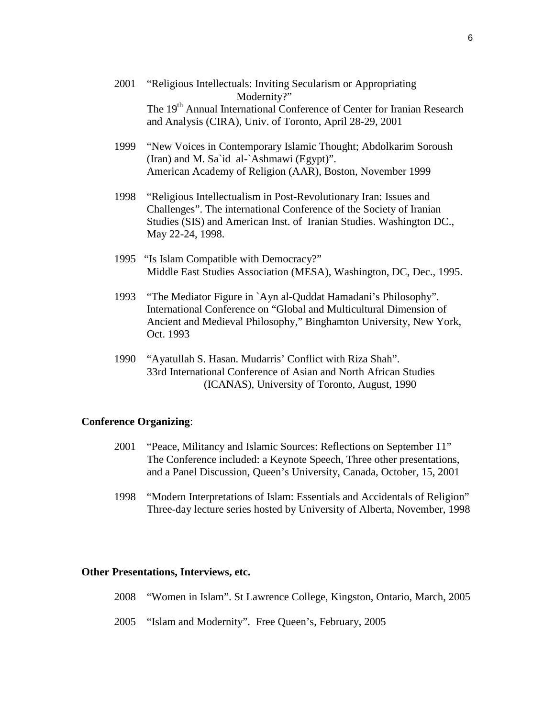- 2001 "Religious Intellectuals: Inviting Secularism or Appropriating Modernity?" The 19<sup>th</sup> Annual International Conference of Center for Iranian Research and Analysis (CIRA), Univ. of Toronto, April 28-29, 2001
- 1999 "New Voices in Contemporary Islamic Thought; Abdolkarim Soroush (Iran) and M. Sa`id al-`Ashmawi (Egypt)". American Academy of Religion (AAR), Boston, November 1999
- 1998 "Religious Intellectualism in Post-Revolutionary Iran: Issues and Challenges". The international Conference of the Society of Iranian Studies (SIS) and American Inst. of Iranian Studies. Washington DC., May 22-24, 1998.
- 1995 "Is Islam Compatible with Democracy?" Middle East Studies Association (MESA), Washington, DC, Dec., 1995.
- 1993 "The Mediator Figure in `Ayn al-Quddat Hamadani's Philosophy". International Conference on "Global and Multicultural Dimension of Ancient and Medieval Philosophy," Binghamton University, New York, Oct. 1993
- 1990 "Ayatullah S. Hasan. Mudarris' Conflict with Riza Shah". 33rd International Conference of Asian and North African Studies (ICANAS), University of Toronto, August, 1990

### **Conference Organizing**:

- 2001 "Peace, Militancy and Islamic Sources: Reflections on September 11" The Conference included: a Keynote Speech, Three other presentations, and a Panel Discussion, Queen's University, Canada, October, 15, 2001
- 1998 "Modern Interpretations of Islam: Essentials and Accidentals of Religion" Three-day lecture series hosted by University of Alberta, November, 1998

#### **Other Presentations, Interviews, etc.**

- 2008 "Women in Islam". St Lawrence College, Kingston, Ontario, March, 2005
- 2005 "Islam and Modernity". Free Queen's, February, 2005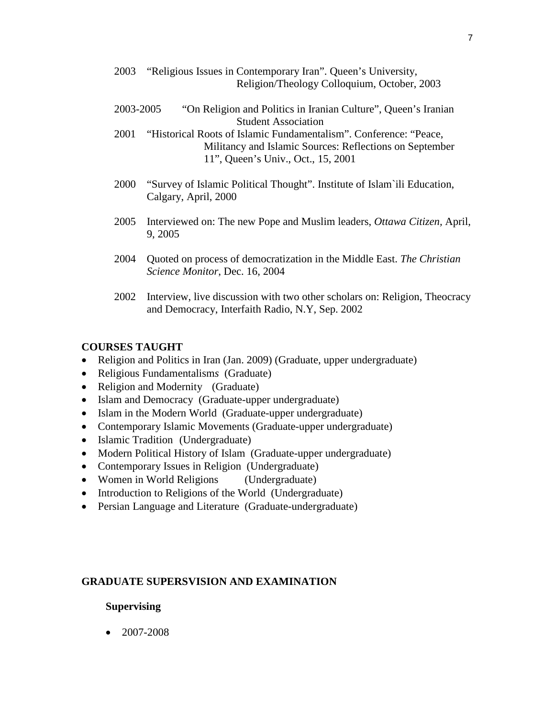- 2003 "Religious Issues in Contemporary Iran". Queen's University, Religion/Theology Colloquium, October, 2003
- 2003-2005 "On Religion and Politics in Iranian Culture", Queen's Iranian Student Association
- 2001 "Historical Roots of Islamic Fundamentalism". Conference: "Peace, Militancy and Islamic Sources: Reflections on September 11", Queen's Univ., Oct., 15, 2001
- 2000 "Survey of Islamic Political Thought". Institute of Islam`ili Education, Calgary, April, 2000
- 2005 Interviewed on: The new Pope and Muslim leaders, *Ottawa Citizen,* April, 9, 2005
- 2004 Quoted on process of democratization in the Middle East. *The Christian Science Monitor*, Dec. 16, 2004
- 2002 Interview, live discussion with two other scholars on: Religion, Theocracy and Democracy, Interfaith Radio, N.Y, Sep. 2002

### **COURSES TAUGHT**

- Religion and Politics in Iran (Jan. 2009) (Graduate, upper undergraduate)
- Religious Fundamentalism*s* (Graduate)
- Religion and Modernity (Graduate)
- Islam and Democracy (Graduate-upper undergraduate)
- Islam in the Modern World (Graduate-upper undergraduate)
- Contemporary Islamic Movements (Graduate-upper undergraduate)
- Islamic Tradition (Undergraduate)
- Modern Political History of Islam (Graduate-upper undergraduate)
- Contemporary Issues in Religion (Undergraduate)
- Women in World Religions (Undergraduate)
- Introduction to Religions of the World (Undergraduate)
- Persian Language and Literature (Graduate-undergraduate)

### **GRADUATE SUPERSVISION AND EXAMINATION**

#### **Supervising**

• 2007-2008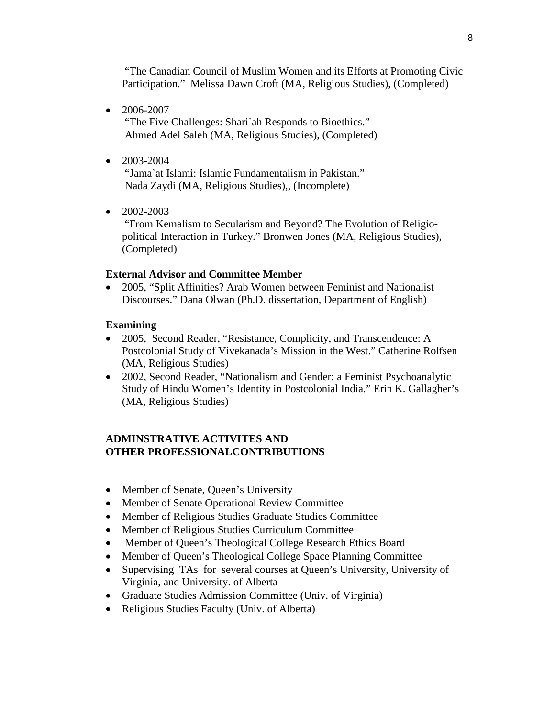"The Canadian Council of Muslim Women and its Efforts at Promoting Civic Participation." Melissa Dawn Croft (MA, Religious Studies), (Completed)

• 2006-2007

"The Five Challenges: Shari`ah Responds to Bioethics." Ahmed Adel Saleh (MA, Religious Studies), (Completed)

 $\bullet$  2003-2004

"Jama`at Islami: Islamic Fundamentalism in Pakistan." Nada Zaydi (MA, Religious Studies),, (Incomplete)

 $\bullet$  2002-2003

"From Kemalism to Secularism and Beyond? The Evolution of Religiopolitical Interaction in Turkey." Bronwen Jones (MA, Religious Studies), (Completed)

### **External Advisor and Committee Member**

• 2005, "Split Affinities? Arab Women between Feminist and Nationalist Discourses." Dana Olwan (Ph.D. dissertation, Department of English)

### **Examining**

- 2005, Second Reader, "Resistance, Complicity, and Transcendence: A Postcolonial Study of Vivekanada's Mission in the West." Catherine Rolfsen (MA, Religious Studies)
- 2002, Second Reader, "Nationalism and Gender: a Feminist Psychoanalytic Study of Hindu Women's Identity in Postcolonial India." Erin K. Gallagher's (MA, Religious Studies)

### **ADMINSTRATIVE ACTIVITES AND OTHER PROFESSIONALCONTRIBUTIONS**

- Member of Senate, Queen's University
- Member of Senate Operational Review Committee
- Member of Religious Studies Graduate Studies Committee
- Member of Religious Studies Curriculum Committee
- Member of Queen's Theological College Research Ethics Board
- Member of Queen's Theological College Space Planning Committee
- Supervising TAs for several courses at Queen's University, University of Virginia, and University. of Alberta
- Graduate Studies Admission Committee (Univ. of Virginia)
- Religious Studies Faculty (Univ. of Alberta)